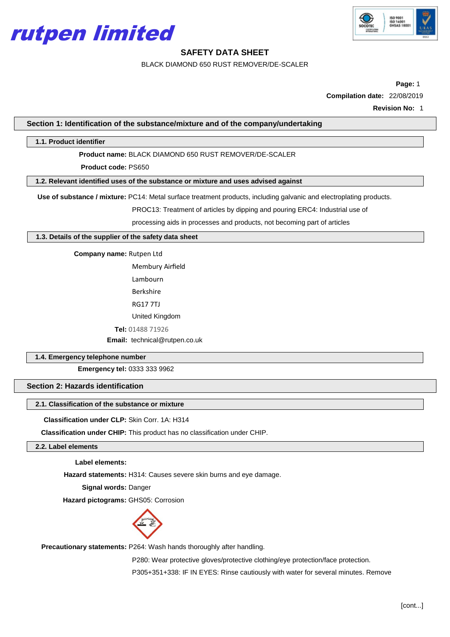



BLACK DIAMOND 650 RUST REMOVER/DE-SCALER

**Page:** 1 **Compilation date:** 22/08/2019

**Revision No:** 1

**Section 1: Identification of the substance/mixture and of the company/undertaking**

#### **1.1. Product identifier**

**Product name:** BLACK DIAMOND 650 RUST REMOVER/DE-SCALER

**Product code:** PS650

**1.2. Relevant identified uses of the substance or mixture and uses advised against**

**Use of substance / mixture:** PC14: Metal surface treatment products, including galvanic and electroplating products.

PROC13: Treatment of articles by dipping and pouring ERC4: Industrial use of

processing aids in processes and products, not becoming part of articles

**1.3. Details of the supplier of the safety data sheet**

**Company name:** Rutpen Ltd

Membury Airfield

Lambourn

Berkshire

RG17 7TJ

United Kingdom

**Tel:** 01488 71926

**Email:** [technical@rutpen.co.uk](mailto:technical@rutpen.co.uk)

### **1.4. Emergency telephone number**

**Emergency tel:** 0333 333 9962

## **Section 2: Hazards identification**

## **2.1. Classification of the substance or mixture**

**Classification under CLP:** Skin Corr. 1A: H314

**Classification under CHIP:** This product has no classification under CHIP.

## **2.2. Label elements**

**Label elements:**

**Hazard statements:** H314: Causes severe skin burns and eye damage.

**Signal words:** Danger

**Hazard pictograms: GHS05: Corrosion** 



**Precautionary statements:** P264: Wash hands thoroughly after handling.

P280: Wear protective gloves/protective clothing/eye protection/face protection. P305+351+338: IF IN EYES: Rinse cautiously with water for several minutes. Remove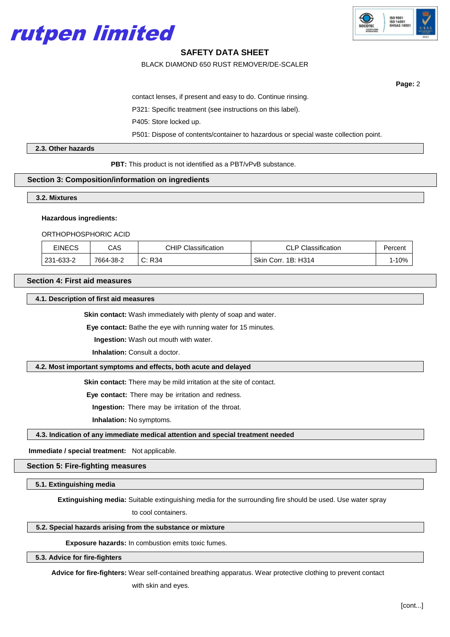



BLACK DIAMOND 650 RUST REMOVER/DE-SCALER

**Page:** 2

contact lenses, if present and easy to do. Continue rinsing.

P321: Specific treatment (see instructions on this label).

P405: Store locked up.

P501: Dispose of contents/container to hazardous or special waste collection point.

#### **2.3. Other hazards**

**PBT:** This product is not identified as a PBT/vPvB substance.

#### **Section 3: Composition/information on ingredients**

**3.2. Mixtures**

#### **Hazardous ingredients:**

#### ORTHOPHOSPHORIC ACID

| <b>EINECS</b> | CAS       | <b>CHIP Classification</b> | <b>CLP Classification</b> | Percent |
|---------------|-----------|----------------------------|---------------------------|---------|
| 231-633-2     | 7664-38-2 | C: R34                     | Skin Corr. 1B: H314       | l-10%   |

#### **Section 4: First aid measures**

#### **4.1. Description of first aid measures**

**Skin contact:** Wash immediately with plenty of soap and water.

**Eye contact:** Bathe the eye with running water for 15 minutes.

**Ingestion:** Wash out mouth with water.

**Inhalation: Consult a doctor.** 

#### **4.2. Most important symptoms and effects, both acute and delayed**

**Skin contact:** There may be mild irritation at the site of contact.

**Eye contact:** There may be irritation and redness.

**Ingestion:** There may be irritation of the throat.

**Inhalation:** No symptoms.

#### **4.3. Indication of any immediate medical attention and special treatment needed**

**Immediate / special treatment:** Not applicable.

## **Section 5: Fire-fighting measures**

## **5.1. Extinguishing media**

**Extinguishing media:** Suitable extinguishing media for the surrounding fire should be used. Use water spray

to cool containers.

## **5.2. Special hazards arising from the substance or mixture**

**Exposure hazards:** In combustion emits toxic fumes.

## **5.3. Advice for fire-fighters**

**Advice for fire-fighters:** Wear self-contained breathing apparatus. Wear protective clothing to prevent contact

with skin and eyes.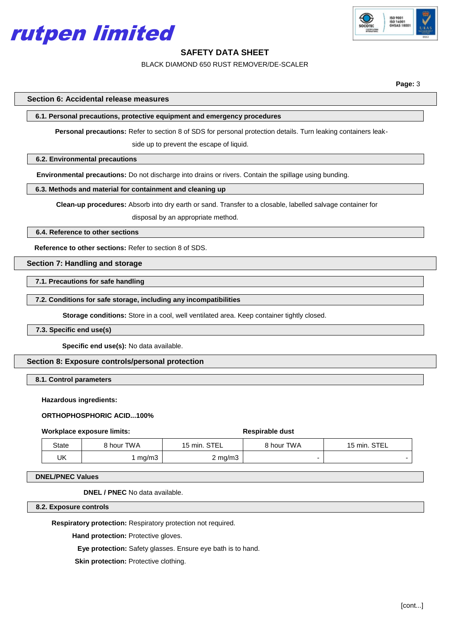



BLACK DIAMOND 650 RUST REMOVER/DE-SCALER

**Page:** 3

**Section 6: Accidental release measures**

**6.1. Personal precautions, protective equipment and emergency procedures**

**Personal precautions:** Refer to section 8 of SDS for personal protection details. Turn leaking containers leak-

side up to prevent the escape of liquid.

#### **6.2. Environmental precautions**

**Environmental precautions:** Do not discharge into drains or rivers. Contain the spillage using bunding.

#### **6.3. Methods and material for containment and cleaning up**

**Clean-up procedures:** Absorb into dry earth or sand. Transfer to a closable, labelled salvage container for

disposal by an appropriate method.

#### **6.4. Reference to other sections**

**Reference to other sections:** Refer to section 8 of SDS.

## **Section 7: Handling and storage**

**7.1. Precautions for safe handling**

#### **7.2. Conditions for safe storage, including any incompatibilities**

**Storage conditions:** Store in a cool, well ventilated area. Keep container tightly closed.

## **7.3. Specific end use(s)**

**Specific end use(s):** No data available.

## **Section 8: Exposure controls/personal protection**

## **8.1. Control parameters**

#### **Hazardous ingredients:**

#### **ORTHOPHOSPHORIC ACID...100%**

#### **Workplace exposure limits:**  $\qquad \qquad$  **Respirable dust**

| State | 8 hour TWA | 15 min. STEL | 8 hour TWA | 15 min. STEL |
|-------|------------|--------------|------------|--------------|
| UK    | mg/m3      | 2 mg/m3      |            |              |

#### **DNEL/PNEC Values**

**DNEL / PNEC** No data available.

#### **8.2. Exposure controls**

**Respiratory protection:** Respiratory protection not required.

**Hand protection:** Protective gloves.

**Eye protection:** Safety glasses. Ensure eye bath is to hand.

**Skin protection: Protective clothing.**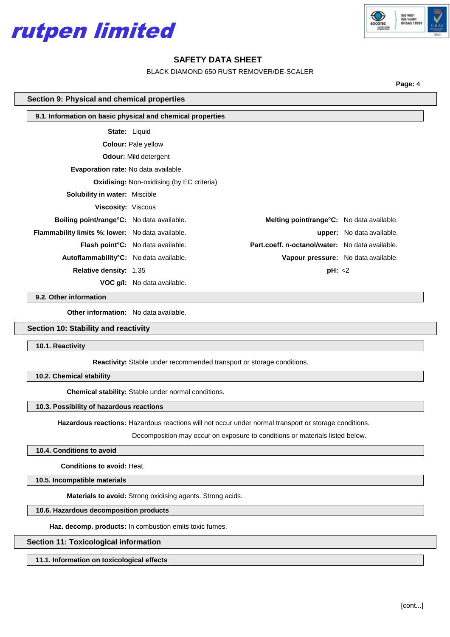



BLACK DIAMOND 650 RUST REMOVER/DE-SCALER

**Page:** 4

#### **Section 9: Physical and chemical properties**

| 9.1. Information on basic physical and chemical properties |                                           |                                                   |                           |  |  |  |
|------------------------------------------------------------|-------------------------------------------|---------------------------------------------------|---------------------------|--|--|--|
|                                                            | <b>State: Liquid</b>                      |                                                   |                           |  |  |  |
| <b>Colour: Pale yellow</b>                                 |                                           |                                                   |                           |  |  |  |
| <b>Odour:</b> Mild detergent                               |                                           |                                                   |                           |  |  |  |
| <b>Evaporation rate:</b> No data available.                |                                           |                                                   |                           |  |  |  |
| <b>Oxidising: Non-oxidising (by EC criteria)</b>           |                                           |                                                   |                           |  |  |  |
| <b>Solubility in water: Miscible</b>                       |                                           |                                                   |                           |  |  |  |
| <b>Viscosity: Viscous</b>                                  |                                           |                                                   |                           |  |  |  |
| <b>Boiling point/range °C:</b> No data available.          |                                           | <b>Melting point/range °C:</b> No data available. |                           |  |  |  |
| <b>Flammability limits %: lower:</b> No data available.    |                                           |                                                   | upper: No data available. |  |  |  |
|                                                            | <b>Flash point °C:</b> No data available. | Part.coeff. n-octanol/water: No data available.   |                           |  |  |  |
| Autoflammability <sup>°</sup> C: No data available.        |                                           | Vapour pressure: No data available.               |                           |  |  |  |
| <b>Relative density: 1.35</b>                              |                                           | pH: < 2                                           |                           |  |  |  |
|                                                            | <b>VOC g/l:</b> No data available.        |                                                   |                           |  |  |  |

**9.2. Other information**

**Other information:** No data available.

#### **Section 10: Stability and reactivity**

**10.1. Reactivity**

**Reactivity:** Stable under recommended transport or storage conditions.

**10.2. Chemical stability**

**Chemical stability:** Stable under normal conditions.

#### **10.3. Possibility of hazardous reactions**

**Hazardous reactions:** Hazardous reactions will not occur under normal transport or storage conditions.

Decomposition may occur on exposure to conditions or materials listed below.

## **10.4. Conditions to avoid**

**Conditions to avoid:** Heat.

**10.5. Incompatible materials**

**Materials to avoid:** Strong oxidising agents. Strong acids.

## **10.6. Hazardous decomposition products**

**Haz. decomp. products:** In combustion emits toxic fumes.

## **Section 11: Toxicological information**

**11.1. Information on toxicological effects**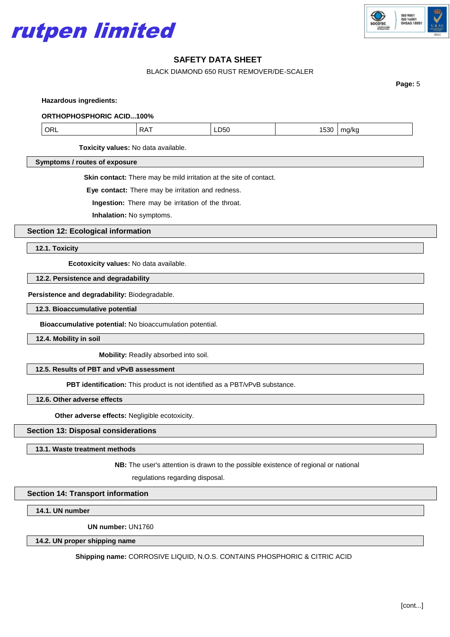



BLACK DIAMOND 650 RUST REMOVER/DE-SCALER

**Page:** 5

**Hazardous ingredients:**

**ORTHOPHOSPHORIC ACID...100%**

| ∩⊾<br>.<br>٦F<br>, ,,<br>⊸∟∪∪<br>``<br>$ -$ | ---<br>သာ | н<br>. |
|---------------------------------------------|-----------|--------|
|---------------------------------------------|-----------|--------|

**Toxicity values:** No data available.

**Symptoms / routes of exposure**

**Skin contact:** There may be mild irritation at the site of contact.

**Eye contact:** There may be irritation and redness.

**Ingestion:** There may be irritation of the throat.

**Inhalation:** No symptoms.

**Section 12: Ecological information**

**12.1. Toxicity**

**Ecotoxicity values:** No data available.

**12.2. Persistence and degradability**

**Persistence and degradability:** Biodegradable.

**12.3. Bioaccumulative potential**

**Bioaccumulative potential:** No bioaccumulation potential.

**12.4. Mobility in soil**

**Mobility:** Readily absorbed into soil.

**12.5. Results of PBT and vPvB assessment**

**PBT identification:** This product is not identified as a PBT/vPvB substance.

**12.6. Other adverse effects**

**Other adverse effects:** Negligible ecotoxicity.

### **Section 13: Disposal considerations**

**13.1. Waste treatment methods**

**NB:** The user's attention is drawn to the possible existence of regional or national

regulations regarding disposal.

## **Section 14: Transport information**

**14.1. UN number**

**UN number:** UN1760

**14.2. UN proper shipping name**

**Shipping name:** CORROSIVE LIQUID, N.O.S. CONTAINS PHOSPHORIC & CITRIC ACID